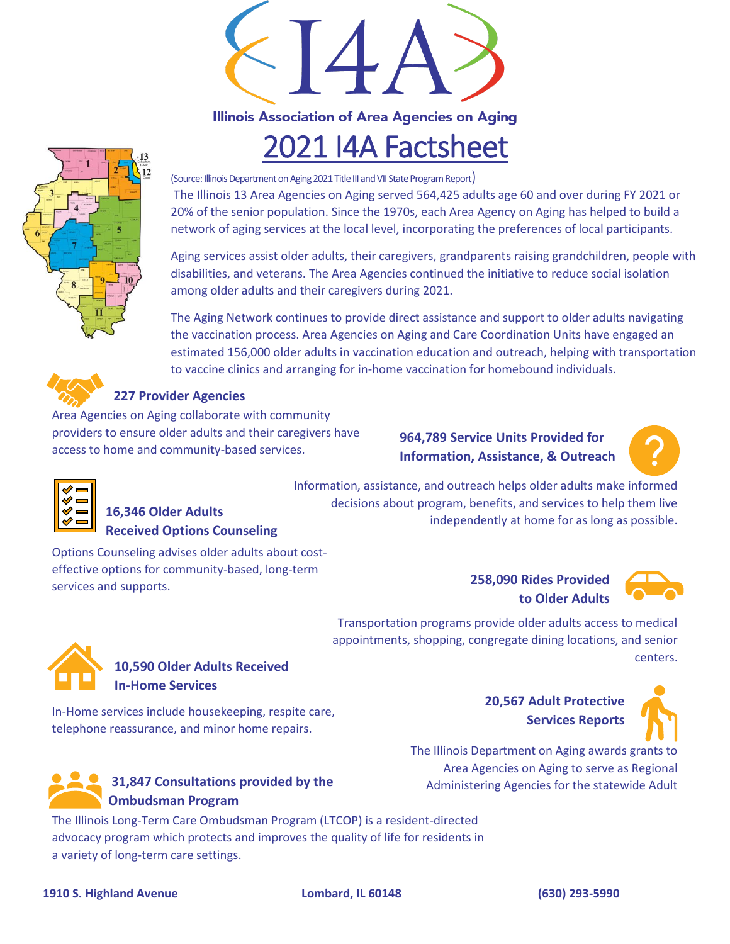

# 2021 I4A Factsheet

(Source: Illinois Department on Aging 2021 Title III and VII State Program Report) The Illinois 13 Area Agencies on Aging served 564,425 adults age 60 and over during FY 2021 or 20% of the senior population. Since the 1970s, each Area Agency on Aging has helped to build a network of aging services at the local level, incorporating the preferences of local participants.

Aging services assist older adults, their caregivers, grandparents raising grandchildren, people with disabilities, and veterans. The Area Agencies continued the initiative to reduce social isolation among older adults and their caregivers during 2021.

The Aging Network continues to provide direct assistance and support to older adults navigating the vaccination process. Area Agencies on Aging and Care Coordination Units have engaged an estimated 156,000 older adults in vaccination education and outreach, helping with transportation to vaccine clinics and arranging for in-home vaccination for homebound individuals.



### **227 Provider Agencies**

Area Agencies on Aging collaborate with community providers to ensure older adults and their caregivers have access to home and community-based services.

**964,789 Service Units Provided for Information, Assistance, & Outreach**

decisions about program, benefits, and services to help them live





## independently at home for as long as possible. **16,346 Older Adults Received Options Counseling**

Options Counseling advises older adults about costeffective options for community-based, long-term services and supports. **258,090 Rides Provided** 

**to Older Adults**



Transportation programs provide older adults access to medical appointments, shopping, congregate dining locations, and senior centers.



## **10,590 Older Adults Received In-Home Services**

In-Home services include housekeeping, respite care, telephone reassurance, and minor home repairs.



### **31,847 Consultations provided by the Ombudsman Program**

The Illinois Long-Term Care Ombudsman Program (LTCOP) is a resident-directed advocacy program which protects and improves the quality of life for residents in a variety of long-term care settings.

**20,567 Adult Protective Services Reports**



The Illinois Department on Aging awards grants to Area Agencies on Aging to serve as Regional Administering Agencies for the statewide Adult